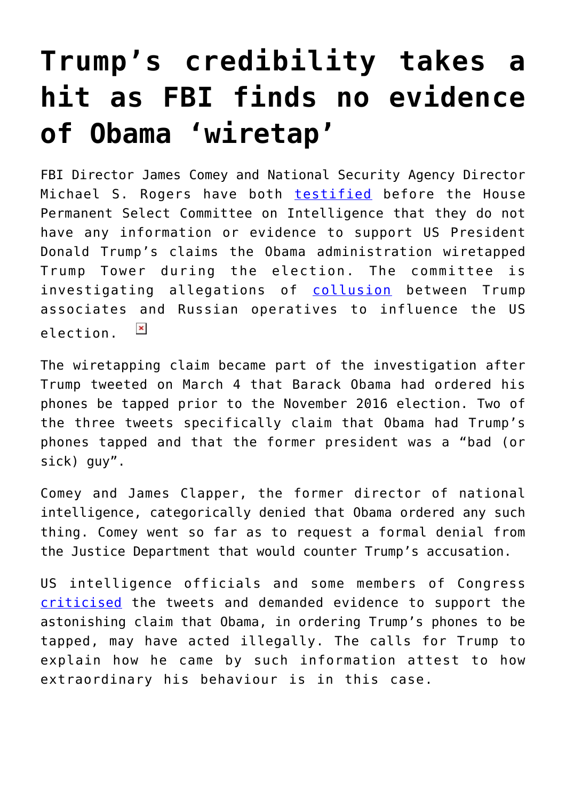## **[Trump's credibility takes a](https://intellectualtakeout.org/2017/03/trumps-credibility-takes-a-hit-as-fbi-finds-no-evidence-of-obama-wiretap/) [hit as FBI finds no evidence](https://intellectualtakeout.org/2017/03/trumps-credibility-takes-a-hit-as-fbi-finds-no-evidence-of-obama-wiretap/) [of Obama 'wiretap'](https://intellectualtakeout.org/2017/03/trumps-credibility-takes-a-hit-as-fbi-finds-no-evidence-of-obama-wiretap/)**

FBI Director James Comey and National Security Agency Director Michael S. Rogers have both [testified](https://www.nytimes.com/2017/03/20/us/politics/intelligence-committee-russia-donald-trump.html?_r=0) before the House Permanent Select Committee on Intelligence that they do not have any information or evidence to support US President Donald Trump's claims the Obama administration wiretapped Trump Tower during the election. The committee is investigating allegations of [collusion](https://www.theguardian.com/us-news/2017/mar/20/fbi-director-comey-confirms-investigation-trump-russia) between Trump associates and Russian operatives to influence the US  $\pmb{\times}$ election.

The wiretapping claim became part of the investigation after Trump tweeted on March 4 that Barack Obama had ordered his phones be tapped prior to the November 2016 election. Two of the three tweets specifically claim that Obama had Trump's phones tapped and that the former president was a "bad (or sick) guy".

Comey and James Clapper, the former director of national intelligence, categorically denied that Obama ordered any such thing. Comey went so far as to request a formal denial from the Justice Department that would counter Trump's accusation.

US intelligence officials and some members of Congress [criticised](http://www.theaustralian.com.au/business/wall-street-journal/white-house-to-ask-congress-for-probe-amid-wiretap-claims/news-story/5d7b953b44368f53fad234be2f11cd3e) the tweets and demanded evidence to support the astonishing claim that Obama, in ordering Trump's phones to be tapped, may have acted illegally. The calls for Trump to explain how he came by such information attest to how extraordinary his behaviour is in this case.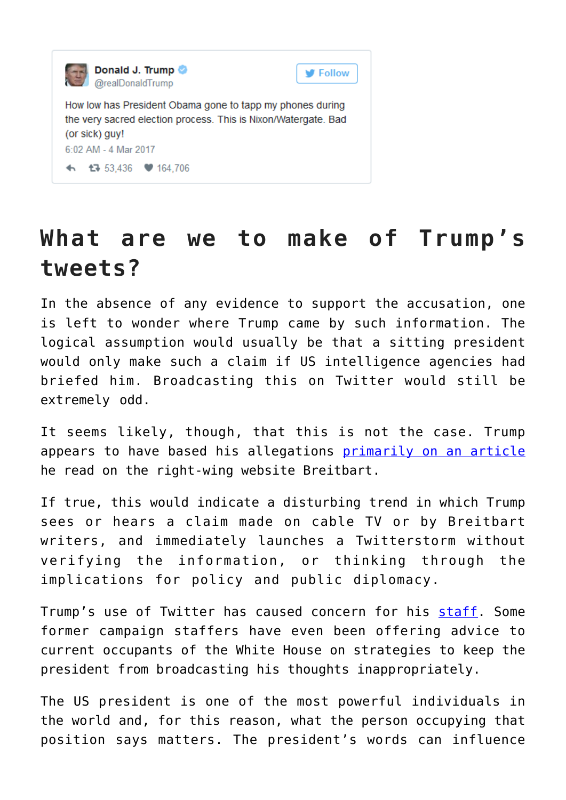

## **What are we to make of Trump's tweets?**

In the absence of any evidence to support the accusation, one is left to wonder where Trump came by such information. The logical assumption would usually be that a sitting president would only make such a claim if US intelligence agencies had briefed him. Broadcasting this on Twitter would still be extremely odd.

It seems likely, though, that this is not the case. Trump appears to have based his allegations [primarily on an article](https://www.washingtonpost.com/news/fact-checker/wp/2017/03/05/trumps-evidence-for-obama-wiretap-claims-relies-on-sketchy-anonymously-sourced-reports/?utm_term=.6f74100287e4) he read on the right-wing website Breitbart.

If true, this would indicate a disturbing trend in which Trump sees or hears a claim made on cable TV or by Breitbart writers, and immediately launches a Twitterstorm without verifying the information, or thinking through the implications for policy and public diplomacy.

Trump's use of Twitter has caused concern for his [staff.](http://www.politico.com/story/2017/02/trump-twitter-staffer-235263) Some former campaign staffers have even been offering advice to current occupants of the White House on strategies to keep the president from broadcasting his thoughts inappropriately.

The US president is one of the most powerful individuals in the world and, for this reason, what the person occupying that position says matters. The president's words can influence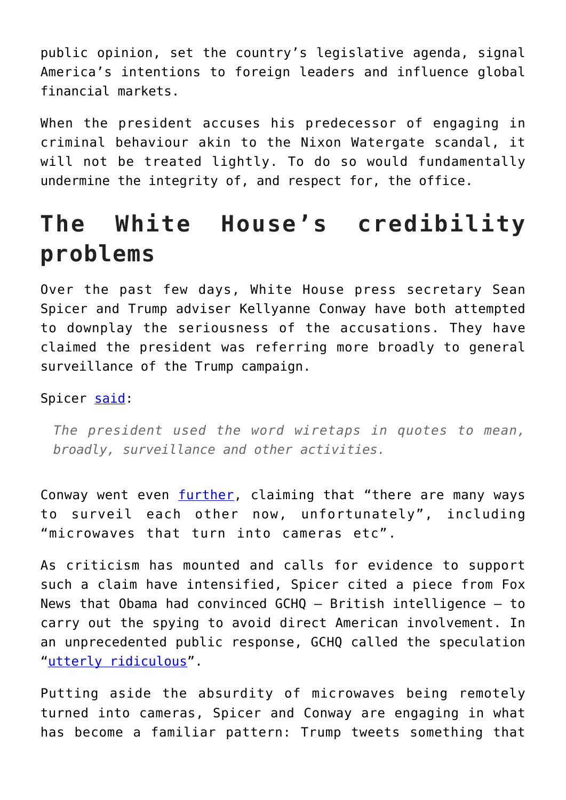public opinion, set the country's legislative agenda, signal America's intentions to foreign leaders and influence global financial markets.

When the president accuses his predecessor of engaging in criminal behaviour akin to the Nixon Watergate scandal, it will not be treated lightly. To do so would fundamentally undermine the integrity of, and respect for, the office.

## **The White House's credibility problems**

Over the past few days, White House press secretary Sean Spicer and Trump adviser Kellyanne Conway have both attempted to downplay the seriousness of the accusations. They have claimed the president was referring more broadly to general surveillance of the Trump campaign.

Spicer [said:](http://edition.cnn.com/2017/03/13/politics/sean-spicer-donald-trump-wiretapping/)

*The president used the word wiretaps in quotes to mean, broadly, surveillance and other activities.*

Conway went even [further](https://www.theguardian.com/us-news/2017/mar/13/kellyanne-conway-trump-wiretap-surveillance-obama), claiming that "there are many ways to surveil each other now, unfortunately", including "microwaves that turn into cameras etc".

As criticism has mounted and calls for evidence to support such a claim have intensified, Spicer cited a piece from Fox News that Obama had convinced GCHQ – British intelligence – to carry out the spying to avoid direct American involvement. In an unprecedented public response, GCHQ called the speculation "[utterly ridiculous"](https://www.theguardian.com/us-news/2017/mar/16/gchq-denies-wiretap-claim-trump-obama).

Putting aside the absurdity of microwaves being remotely turned into cameras, Spicer and Conway are engaging in what has become a familiar pattern: Trump tweets something that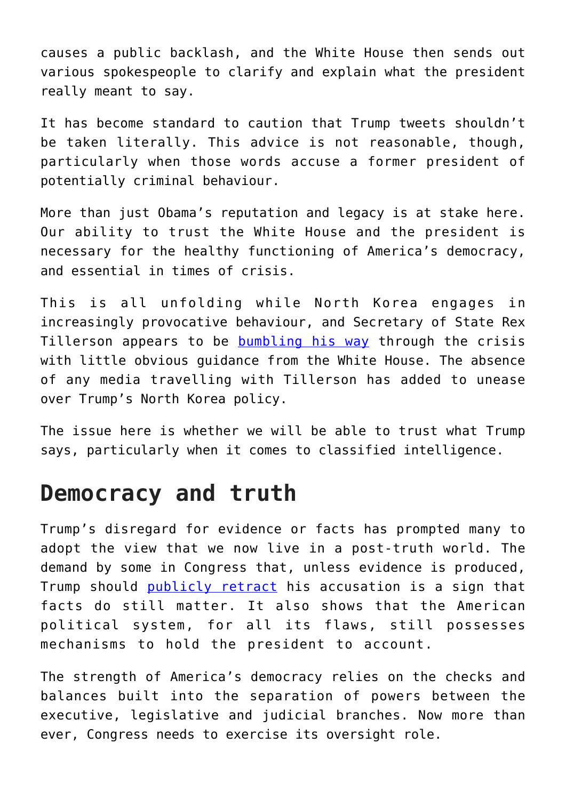causes a public backlash, and the White House then sends out various spokespeople to clarify and explain what the president really meant to say.

It has become standard to caution that Trump tweets shouldn't be taken literally. This advice is not reasonable, though, particularly when those words accuse a former president of potentially criminal behaviour.

More than just Obama's reputation and legacy is at stake here. Our ability to trust the White House and the president is necessary for the healthy functioning of America's democracy, and essential in times of crisis.

This is all unfolding while North Korea engages in increasingly provocative behaviour, and Secretary of State Rex Tillerson appears to be [bumbling his way](http://thehill.com/blogs/pundits-blog/foreign-policy/324527-what-would-war-with-north-korea-really-look-like-trump) through the crisis with little obvious guidance from the White House. The absence of any media travelling with Tillerson has added to unease over Trump's North Korea policy.

The issue here is whether we will be able to trust what Trump says, particularly when it comes to classified intelligence.

## **Democracy and truth**

Trump's disregard for evidence or facts has prompted many to adopt the view that we now live in a post-truth world. The demand by some in Congress that, unless evidence is produced, Trump should [publicly retract](https://www.washingtonpost.com/news/powerpost/wp/2017/03/12/mccain-to-trump-retract-wiretapping-claim-or-prove-it/?utm_term=.1749f7ff280c) his accusation is a sign that facts do still matter. It also shows that the American political system, for all its flaws, still possesses mechanisms to hold the president to account.

The strength of America's democracy relies on the checks and balances built into the separation of powers between the executive, legislative and judicial branches. Now more than ever, Congress needs to exercise its oversight role.